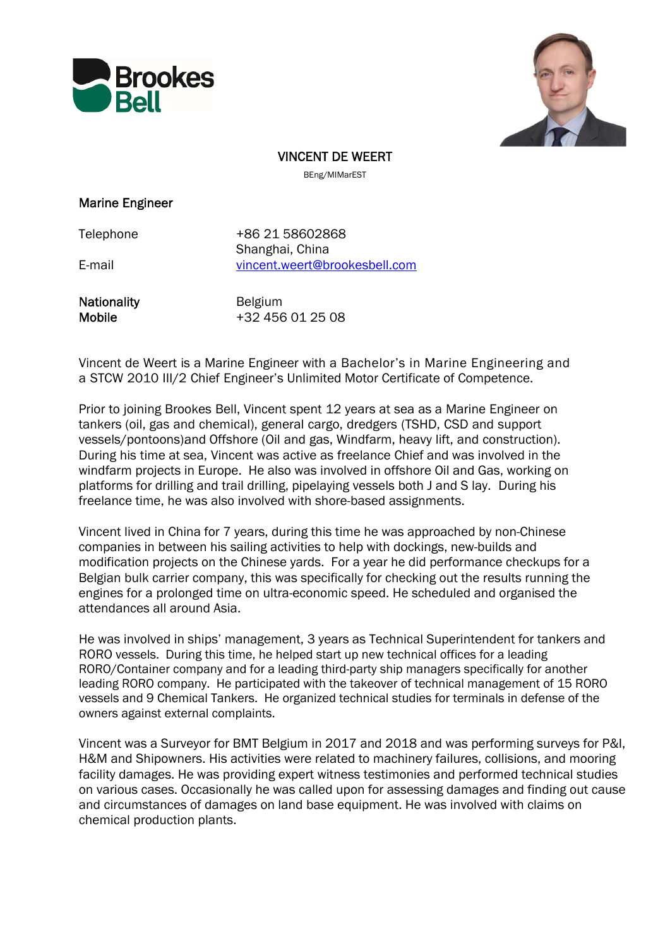



VINCENT DE WEERT

BEng/MIMarEST

#### Marine Engineer

Telephone +86 21 58602868 Shanghai, China E-mail vincent.weert@brookesbell.com

Nationality **Belgium** 

Mobile  $+32 456 01 25 08$ 

Vincent de Weert is a Marine Engineer with a Bachelor's in Marine Engineering and a STCW 2010 III/2 Chief Engineer's Unlimited Motor Certificate of Competence.

Prior to joining Brookes Bell, Vincent spent 12 years at sea as a Marine Engineer on tankers (oil, gas and chemical), general cargo, dredgers (TSHD, CSD and support vessels/pontoons) and Offshore (Oil and gas, Windfarm, heavy lift, and construction). During his time at sea, Vincent was active as freelance Chief and was involved in the windfarm projects in Europe. He also was involved in offshore Oil and Gas, working on platforms for drilling and trail drilling, pipelaying vessels both J and S lay. During his freelance time, he was also involved with shore-based assignments.

Vincent lived in China for 7 years, during this time he was approached by non-Chinese companies in between his sailing activities to help with dockings, new-builds and modification projects on the Chinese yards. For a year he did performance checkups for a Belgian bulk carrier company, this was specifically for checking out the results running the engines for a prolonged time on ultra-economic speed. He scheduled and organised the attendances all around Asia.

He was involved in ships' management, 3 years as Technical Superintendent for tankers and RORO vessels. During this time, he helped start up new technical offices for a leading RORO/Container company and for a leading third-party ship managers specifically for another leading RORO company. He participated with the takeover of technical management of 15 RORO vessels and 9 Chemical Tankers. He organized technical studies for terminals in defense of the owners against external complaints.

Vincent was a Surveyor for BMT Belgium in 2017 and 2018 and was performing surveys for P&I, H&M and Shipowners. His activities were related to machinery failures, collisions, and mooring facility damages. He was providing expert witness testimonies and performed technical studies on various cases. Occasionally he was called upon for assessing damages and finding out cause and circumstances of damages on land base equipment. He was involved with claims on chemical production plants.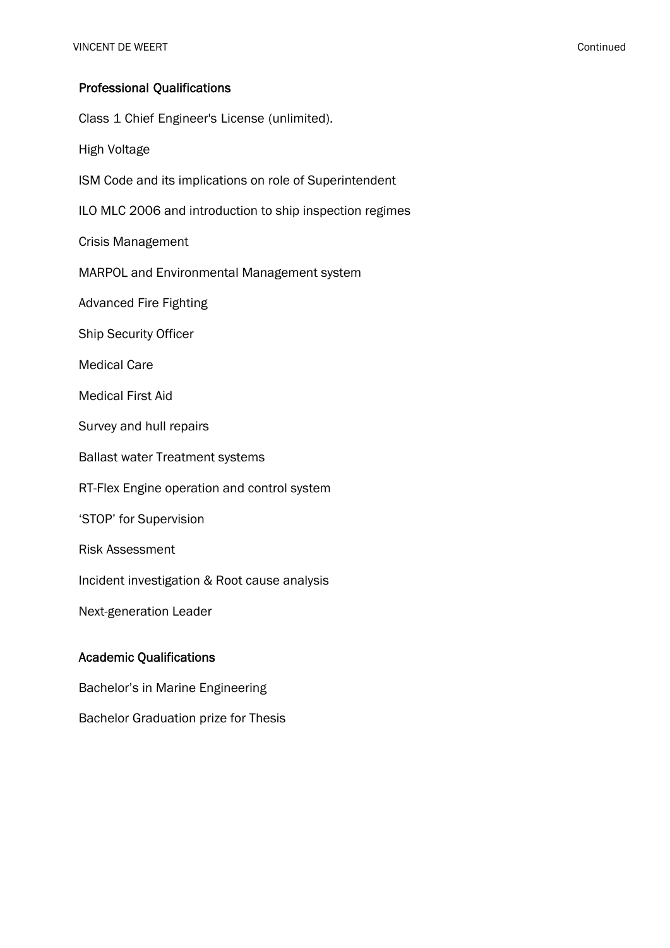# Professional Qualifications

Class 1 Chief Engineer's License (unlimited). High Voltage ISM Code and its implications on role of Superintendent ILO MLC 2006 and introduction to ship inspection regimes Crisis Management MARPOL and Environmental Management system Advanced Fire Fighting Ship Security Officer Medical Care Medical First Aid Survey and hull repairs Ballast water Treatment systems RT-Flex Engine operation and control system 'STOP' for Supervision Risk Assessment Incident investigation & Root cause analysis Next-generation Leader Academic Qualifications Bachelor's in Marine Engineering

Bachelor Graduation prize for Thesis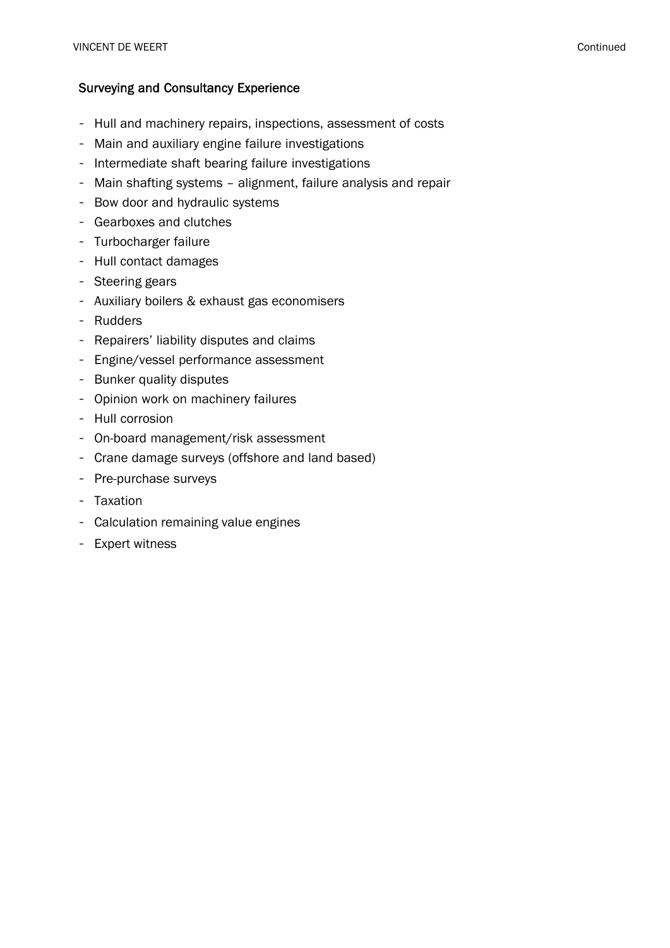### Surveying and Consultancy Experience

- Hull and machinery repairs, inspections, assessment of costs
- Main and auxiliary engine failure investigations
- Intermediate shaft bearing failure investigations
- Main shafting systems alignment, failure analysis and repair
- Bow door and hydraulic systems
- Gearboxes and clutches
- Turbocharger failure
- Hull contact damages
- Steering gears
- Auxiliary boilers & exhaust gas economisers
- Rudders
- Repairers' liability disputes and claims
- Engine/vessel performance assessment
- Bunker quality disputes
- Opinion work on machinery failures
- Hull corrosion
- On-board management/risk assessment
- Crane damage surveys (offshore and land based)
- Pre-purchase surveys
- Taxation
- Calculation remaining value engines
- Expert witness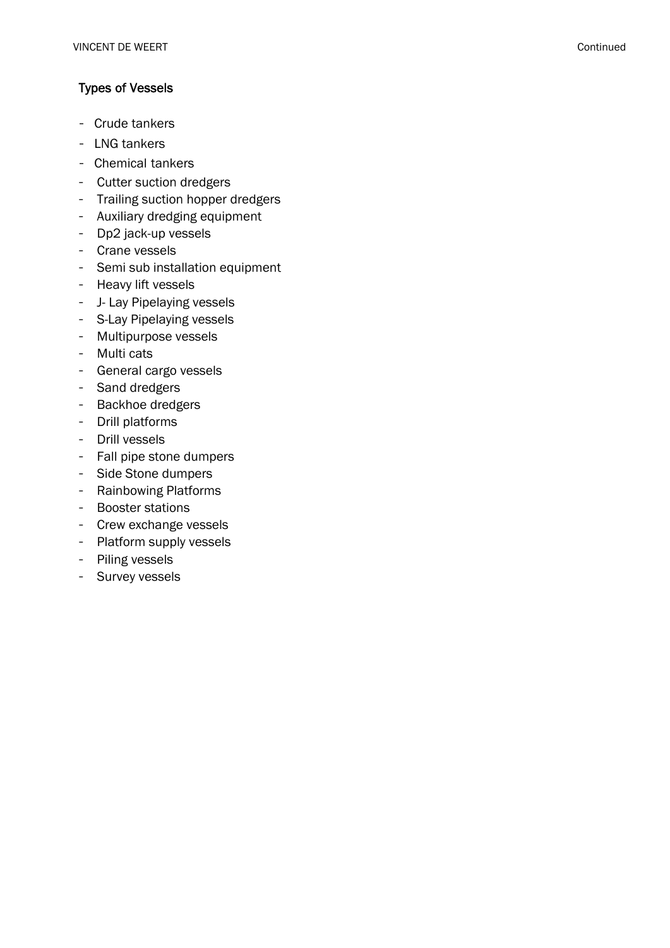## Types of Vessels

- Crude tankers
- LNG tankers
- Chemical tankers
- Cutter suction dredgers
- Trailing suction hopper dredgers
- Auxiliary dredging equipment
- Dp2 jack-up vessels
- Crane vessels
- Semi sub installation equipment
- Heavy lift vessels
- J- Lay Pipelaying vessels
- S-Lay Pipelaying vessels
- Multipurpose vessels
- Multi cats
- General cargo vessels
- Sand dredgers
- Backhoe dredgers
- Drill platforms
- Drill vessels
- Fall pipe stone dumpers
- Side Stone dumpers
- Rainbowing Platforms
- Booster stations
- Crew exchange vessels
- Platform supply vessels
- Piling vessels
- Survey vessels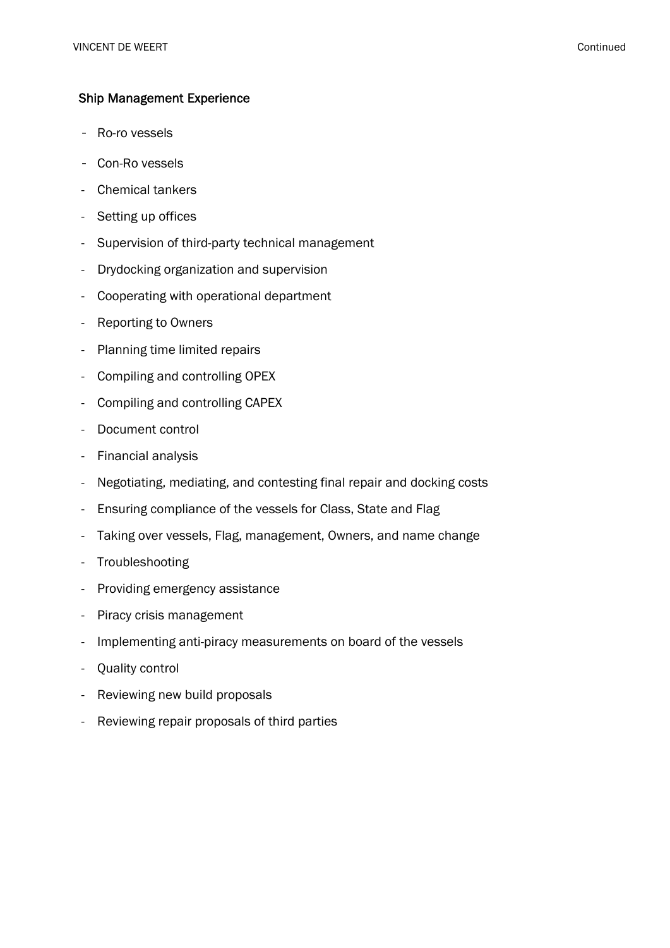### Ship Management Experience

- Ro-ro vessels
- Con-Ro vessels
- Chemical tankers
- Setting up offices
- Supervision of third-party technical management
- Drydocking organization and supervision
- Cooperating with operational department
- Reporting to Owners
- Planning time limited repairs
- Compiling and controlling OPEX
- Compiling and controlling CAPEX
- Document control
- Financial analysis
- Negotiating, mediating, and contesting final repair and docking costs
- Ensuring compliance of the vessels for Class, State and Flag
- Taking over vessels, Flag, management, Owners, and name change
- Troubleshooting
- Providing emergency assistance
- Piracy crisis management
- Implementing anti-piracy measurements on board of the vessels
- Quality control
- Reviewing new build proposals
- Reviewing repair proposals of third parties